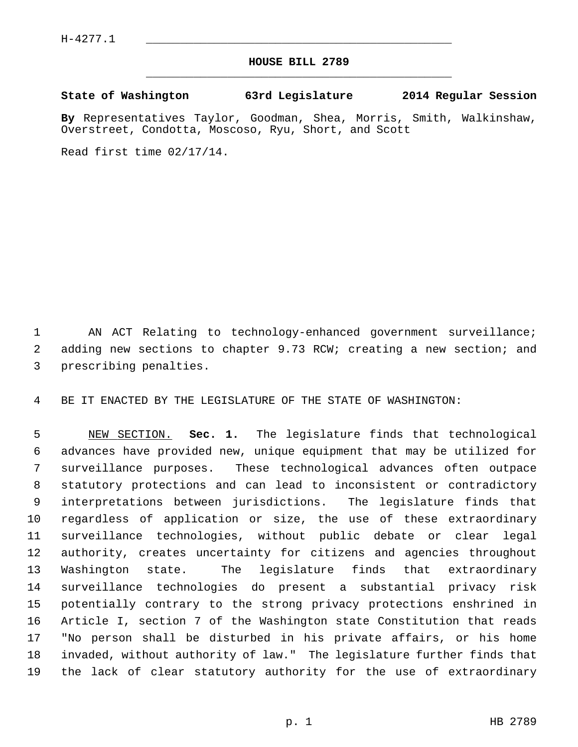$H-4277.1$ 

## **HOUSE BILL 2789** \_\_\_\_\_\_\_\_\_\_\_\_\_\_\_\_\_\_\_\_\_\_\_\_\_\_\_\_\_\_\_\_\_\_\_\_\_\_\_\_\_\_\_\_\_

## **State of Washington 63rd Legislature 2014 Regular Session**

**By** Representatives Taylor, Goodman, Shea, Morris, Smith, Walkinshaw, Overstreet, Condotta, Moscoso, Ryu, Short, and Scott

Read first time 02/17/14.

 1 AN ACT Relating to technology-enhanced government surveillance; 2 adding new sections to chapter 9.73 RCW; creating a new section; and 3 prescribing penalties.

4 BE IT ENACTED BY THE LEGISLATURE OF THE STATE OF WASHINGTON:

 5 NEW SECTION. **Sec. 1.** The legislature finds that technological 6 advances have provided new, unique equipment that may be utilized for 7 surveillance purposes. These technological advances often outpace 8 statutory protections and can lead to inconsistent or contradictory 9 interpretations between jurisdictions. The legislature finds that 10 regardless of application or size, the use of these extraordinary 11 surveillance technologies, without public debate or clear legal 12 authority, creates uncertainty for citizens and agencies throughout 13 Washington state. The legislature finds that extraordinary 14 surveillance technologies do present a substantial privacy risk 15 potentially contrary to the strong privacy protections enshrined in 16 Article I, section 7 of the Washington state Constitution that reads 17 "No person shall be disturbed in his private affairs, or his home 18 invaded, without authority of law." The legislature further finds that 19 the lack of clear statutory authority for the use of extraordinary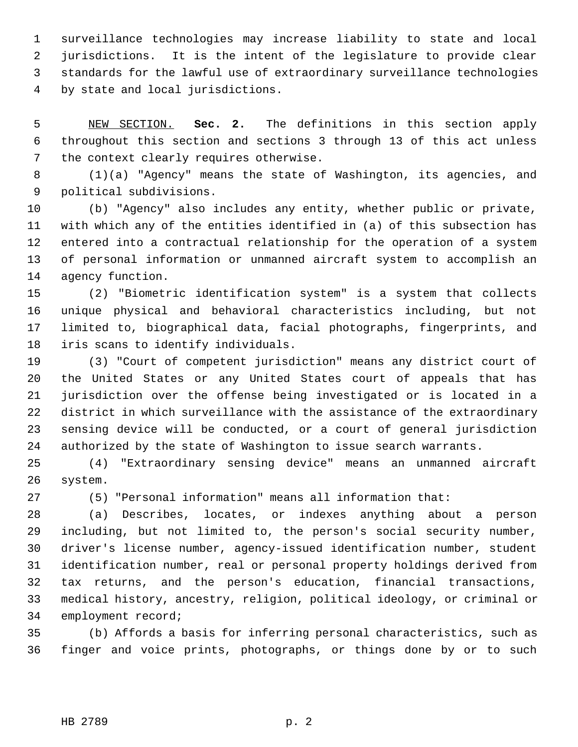1 surveillance technologies may increase liability to state and local 2 jurisdictions. It is the intent of the legislature to provide clear 3 standards for the lawful use of extraordinary surveillance technologies 4 by state and local jurisdictions.

 5 NEW SECTION. **Sec. 2.** The definitions in this section apply 6 throughout this section and sections 3 through 13 of this act unless 7 the context clearly requires otherwise.

 8 (1)(a) "Agency" means the state of Washington, its agencies, and 9 political subdivisions.

10 (b) "Agency" also includes any entity, whether public or private, 11 with which any of the entities identified in (a) of this subsection has 12 entered into a contractual relationship for the operation of a system 13 of personal information or unmanned aircraft system to accomplish an 14 agency function.

15 (2) "Biometric identification system" is a system that collects 16 unique physical and behavioral characteristics including, but not 17 limited to, biographical data, facial photographs, fingerprints, and 18 iris scans to identify individuals.

19 (3) "Court of competent jurisdiction" means any district court of 20 the United States or any United States court of appeals that has 21 jurisdiction over the offense being investigated or is located in a 22 district in which surveillance with the assistance of the extraordinary 23 sensing device will be conducted, or a court of general jurisdiction 24 authorized by the state of Washington to issue search warrants.

25 (4) "Extraordinary sensing device" means an unmanned aircraft 26 system.

27 (5) "Personal information" means all information that:

28 (a) Describes, locates, or indexes anything about a person 29 including, but not limited to, the person's social security number, 30 driver's license number, agency-issued identification number, student 31 identification number, real or personal property holdings derived from 32 tax returns, and the person's education, financial transactions, 33 medical history, ancestry, religion, political ideology, or criminal or 34 employment record;

35 (b) Affords a basis for inferring personal characteristics, such as 36 finger and voice prints, photographs, or things done by or to such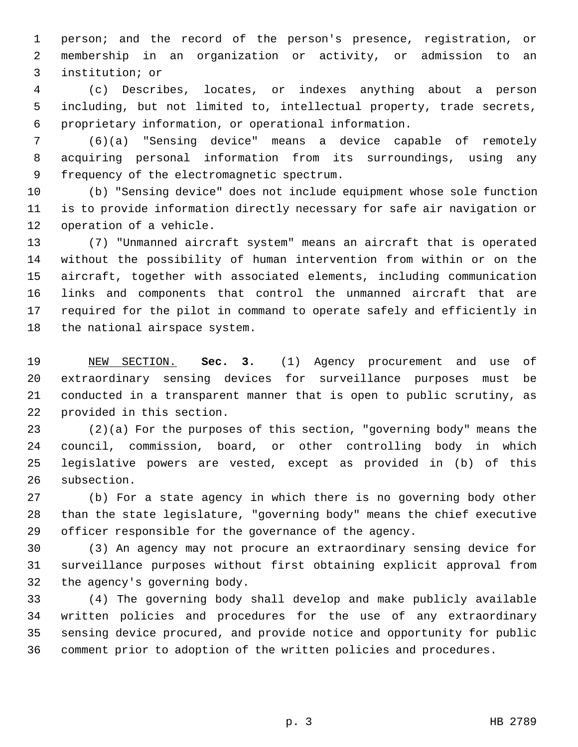1 person; and the record of the person's presence, registration, or 2 membership in an organization or activity, or admission to an 3 institution; or

 4 (c) Describes, locates, or indexes anything about a person 5 including, but not limited to, intellectual property, trade secrets, 6 proprietary information, or operational information.

 7 (6)(a) "Sensing device" means a device capable of remotely 8 acquiring personal information from its surroundings, using any 9 frequency of the electromagnetic spectrum.

10 (b) "Sensing device" does not include equipment whose sole function 11 is to provide information directly necessary for safe air navigation or 12 operation of a vehicle.

13 (7) "Unmanned aircraft system" means an aircraft that is operated 14 without the possibility of human intervention from within or on the 15 aircraft, together with associated elements, including communication 16 links and components that control the unmanned aircraft that are 17 required for the pilot in command to operate safely and efficiently in 18 the national airspace system.

19 NEW SECTION. **Sec. 3.** (1) Agency procurement and use of 20 extraordinary sensing devices for surveillance purposes must be 21 conducted in a transparent manner that is open to public scrutiny, as 22 provided in this section.

23 (2)(a) For the purposes of this section, "governing body" means the 24 council, commission, board, or other controlling body in which 25 legislative powers are vested, except as provided in (b) of this 26 subsection.

27 (b) For a state agency in which there is no governing body other 28 than the state legislature, "governing body" means the chief executive 29 officer responsible for the governance of the agency.

30 (3) An agency may not procure an extraordinary sensing device for 31 surveillance purposes without first obtaining explicit approval from 32 the agency's governing body.

33 (4) The governing body shall develop and make publicly available 34 written policies and procedures for the use of any extraordinary 35 sensing device procured, and provide notice and opportunity for public 36 comment prior to adoption of the written policies and procedures.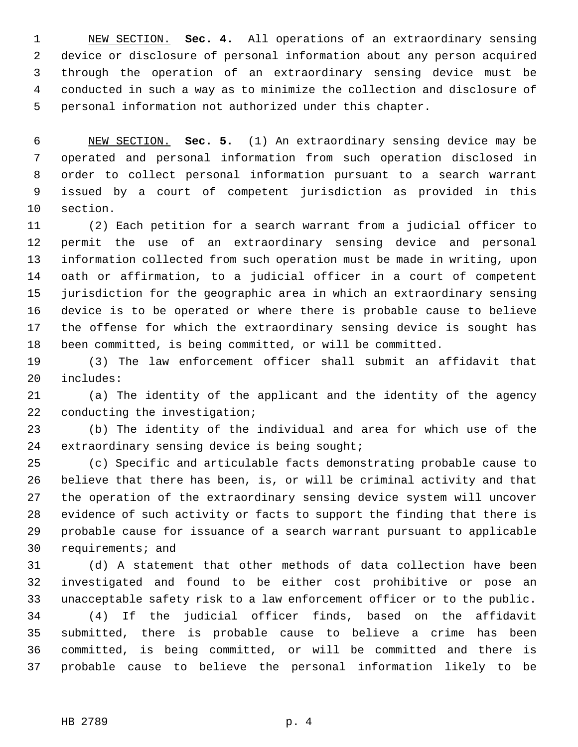1 NEW SECTION. **Sec. 4.** All operations of an extraordinary sensing 2 device or disclosure of personal information about any person acquired 3 through the operation of an extraordinary sensing device must be 4 conducted in such a way as to minimize the collection and disclosure of 5 personal information not authorized under this chapter.

 6 NEW SECTION. **Sec. 5.** (1) An extraordinary sensing device may be 7 operated and personal information from such operation disclosed in 8 order to collect personal information pursuant to a search warrant 9 issued by a court of competent jurisdiction as provided in this 10 section.

11 (2) Each petition for a search warrant from a judicial officer to 12 permit the use of an extraordinary sensing device and personal 13 information collected from such operation must be made in writing, upon 14 oath or affirmation, to a judicial officer in a court of competent 15 jurisdiction for the geographic area in which an extraordinary sensing 16 device is to be operated or where there is probable cause to believe 17 the offense for which the extraordinary sensing device is sought has 18 been committed, is being committed, or will be committed.

19 (3) The law enforcement officer shall submit an affidavit that 20 includes:

21 (a) The identity of the applicant and the identity of the agency 22 conducting the investigation;

23 (b) The identity of the individual and area for which use of the 24 extraordinary sensing device is being sought;

25 (c) Specific and articulable facts demonstrating probable cause to 26 believe that there has been, is, or will be criminal activity and that 27 the operation of the extraordinary sensing device system will uncover 28 evidence of such activity or facts to support the finding that there is 29 probable cause for issuance of a search warrant pursuant to applicable 30 requirements; and

31 (d) A statement that other methods of data collection have been 32 investigated and found to be either cost prohibitive or pose an 33 unacceptable safety risk to a law enforcement officer or to the public.

34 (4) If the judicial officer finds, based on the affidavit 35 submitted, there is probable cause to believe a crime has been 36 committed, is being committed, or will be committed and there is 37 probable cause to believe the personal information likely to be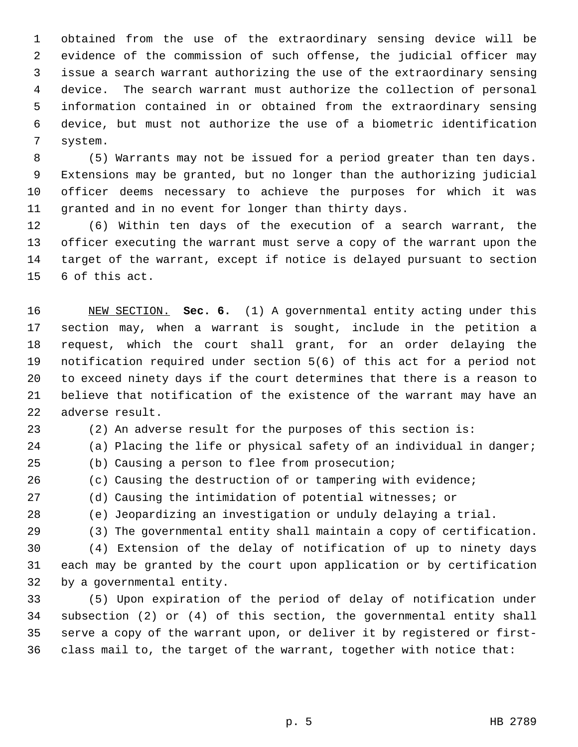1 obtained from the use of the extraordinary sensing device will be 2 evidence of the commission of such offense, the judicial officer may 3 issue a search warrant authorizing the use of the extraordinary sensing 4 device. The search warrant must authorize the collection of personal 5 information contained in or obtained from the extraordinary sensing 6 device, but must not authorize the use of a biometric identification 7 system.

 8 (5) Warrants may not be issued for a period greater than ten days. 9 Extensions may be granted, but no longer than the authorizing judicial 10 officer deems necessary to achieve the purposes for which it was 11 granted and in no event for longer than thirty days.

12 (6) Within ten days of the execution of a search warrant, the 13 officer executing the warrant must serve a copy of the warrant upon the 14 target of the warrant, except if notice is delayed pursuant to section 15 6 of this act.

16 NEW SECTION. **Sec. 6.** (1) A governmental entity acting under this 17 section may, when a warrant is sought, include in the petition a 18 request, which the court shall grant, for an order delaying the 19 notification required under section 5(6) of this act for a period not 20 to exceed ninety days if the court determines that there is a reason to 21 believe that notification of the existence of the warrant may have an 22 adverse result.

- 23 (2) An adverse result for the purposes of this section is:
- 24 (a) Placing the life or physical safety of an individual in danger;
- 25 (b) Causing a person to flee from prosecution;
- 26 (c) Causing the destruction of or tampering with evidence;
- 27 (d) Causing the intimidation of potential witnesses; or
- 28 (e) Jeopardizing an investigation or unduly delaying a trial.
	-
- 29 (3) The governmental entity shall maintain a copy of certification.

30 (4) Extension of the delay of notification of up to ninety days 31 each may be granted by the court upon application or by certification 32 by a governmental entity.

33 (5) Upon expiration of the period of delay of notification under 34 subsection (2) or (4) of this section, the governmental entity shall 35 serve a copy of the warrant upon, or deliver it by registered or first-36 class mail to, the target of the warrant, together with notice that: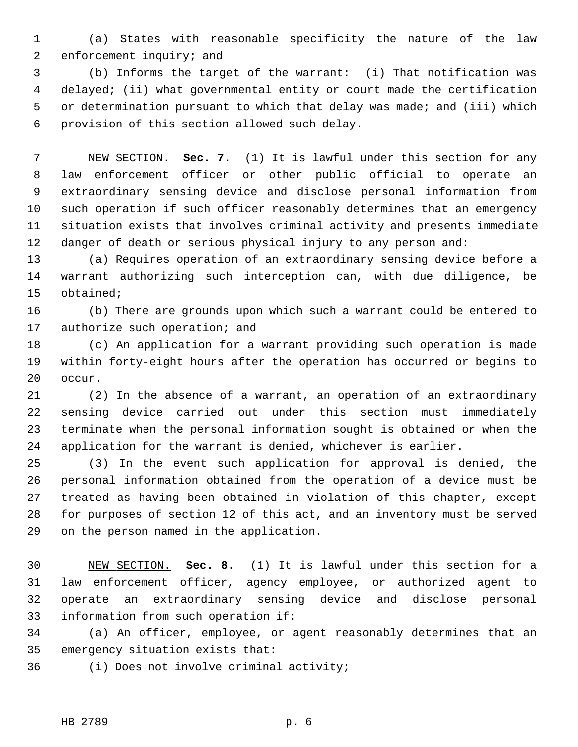1 (a) States with reasonable specificity the nature of the law 2 enforcement inquiry; and

 3 (b) Informs the target of the warrant: (i) That notification was 4 delayed; (ii) what governmental entity or court made the certification 5 or determination pursuant to which that delay was made; and (iii) which 6 provision of this section allowed such delay.

 7 NEW SECTION. **Sec. 7.** (1) It is lawful under this section for any 8 law enforcement officer or other public official to operate an 9 extraordinary sensing device and disclose personal information from 10 such operation if such officer reasonably determines that an emergency 11 situation exists that involves criminal activity and presents immediate 12 danger of death or serious physical injury to any person and:

13 (a) Requires operation of an extraordinary sensing device before a 14 warrant authorizing such interception can, with due diligence, be 15 obtained;

16 (b) There are grounds upon which such a warrant could be entered to 17 authorize such operation; and

18 (c) An application for a warrant providing such operation is made 19 within forty-eight hours after the operation has occurred or begins to 20 occur.

21 (2) In the absence of a warrant, an operation of an extraordinary 22 sensing device carried out under this section must immediately 23 terminate when the personal information sought is obtained or when the 24 application for the warrant is denied, whichever is earlier.

25 (3) In the event such application for approval is denied, the 26 personal information obtained from the operation of a device must be 27 treated as having been obtained in violation of this chapter, except 28 for purposes of section 12 of this act, and an inventory must be served 29 on the person named in the application.

30 NEW SECTION. **Sec. 8.** (1) It is lawful under this section for a 31 law enforcement officer, agency employee, or authorized agent to 32 operate an extraordinary sensing device and disclose personal 33 information from such operation if:

34 (a) An officer, employee, or agent reasonably determines that an 35 emergency situation exists that:

36 (i) Does not involve criminal activity;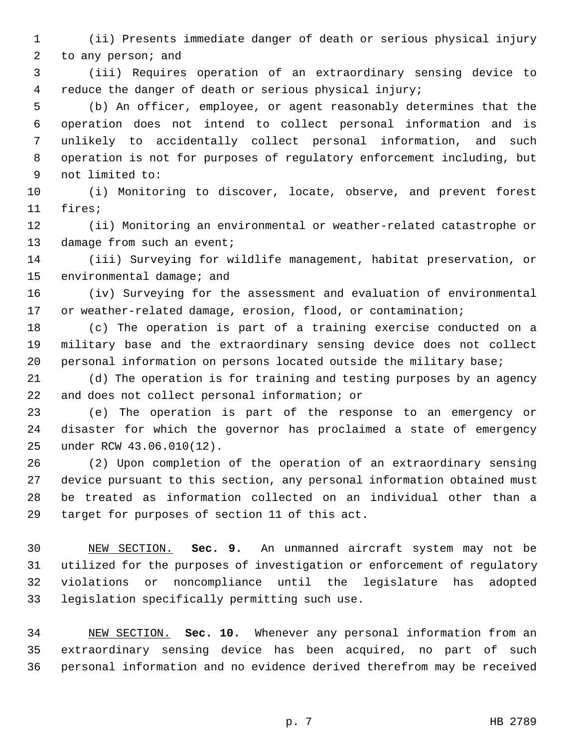1 (ii) Presents immediate danger of death or serious physical injury 2 to any person; and

 3 (iii) Requires operation of an extraordinary sensing device to 4 reduce the danger of death or serious physical injury;

 5 (b) An officer, employee, or agent reasonably determines that the 6 operation does not intend to collect personal information and is 7 unlikely to accidentally collect personal information, and such 8 operation is not for purposes of regulatory enforcement including, but 9 not limited to:

10 (i) Monitoring to discover, locate, observe, and prevent forest 11 fires;

12 (ii) Monitoring an environmental or weather-related catastrophe or 13 damage from such an event;

14 (iii) Surveying for wildlife management, habitat preservation, or 15 environmental damage; and

16 (iv) Surveying for the assessment and evaluation of environmental 17 or weather-related damage, erosion, flood, or contamination;

18 (c) The operation is part of a training exercise conducted on a 19 military base and the extraordinary sensing device does not collect 20 personal information on persons located outside the military base;

21 (d) The operation is for training and testing purposes by an agency 22 and does not collect personal information; or

23 (e) The operation is part of the response to an emergency or 24 disaster for which the governor has proclaimed a state of emergency 25 under RCW 43.06.010(12).

26 (2) Upon completion of the operation of an extraordinary sensing 27 device pursuant to this section, any personal information obtained must 28 be treated as information collected on an individual other than a 29 target for purposes of section 11 of this act.

30 NEW SECTION. **Sec. 9.** An unmanned aircraft system may not be 31 utilized for the purposes of investigation or enforcement of regulatory 32 violations or noncompliance until the legislature has adopted 33 legislation specifically permitting such use.

34 NEW SECTION. **Sec. 10.** Whenever any personal information from an 35 extraordinary sensing device has been acquired, no part of such 36 personal information and no evidence derived therefrom may be received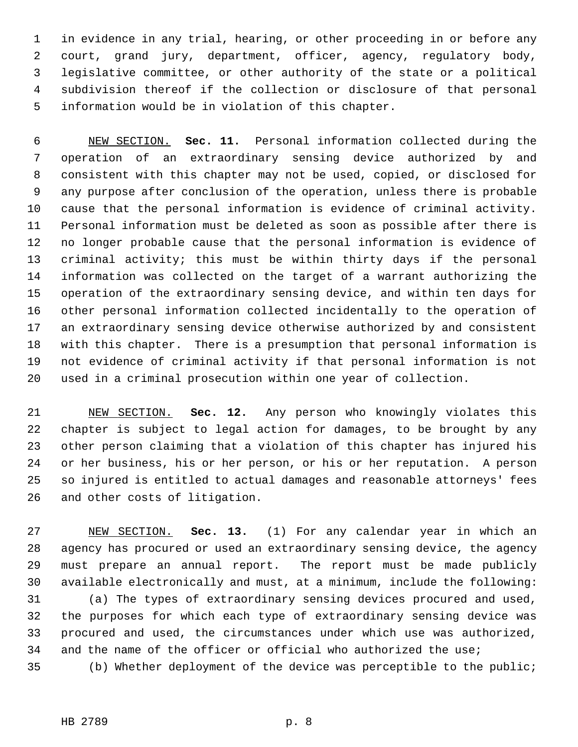1 in evidence in any trial, hearing, or other proceeding in or before any 2 court, grand jury, department, officer, agency, regulatory body, 3 legislative committee, or other authority of the state or a political 4 subdivision thereof if the collection or disclosure of that personal 5 information would be in violation of this chapter.

 6 NEW SECTION. **Sec. 11.** Personal information collected during the 7 operation of an extraordinary sensing device authorized by and 8 consistent with this chapter may not be used, copied, or disclosed for 9 any purpose after conclusion of the operation, unless there is probable 10 cause that the personal information is evidence of criminal activity. 11 Personal information must be deleted as soon as possible after there is 12 no longer probable cause that the personal information is evidence of 13 criminal activity; this must be within thirty days if the personal 14 information was collected on the target of a warrant authorizing the 15 operation of the extraordinary sensing device, and within ten days for 16 other personal information collected incidentally to the operation of 17 an extraordinary sensing device otherwise authorized by and consistent 18 with this chapter. There is a presumption that personal information is 19 not evidence of criminal activity if that personal information is not 20 used in a criminal prosecution within one year of collection.

21 NEW SECTION. **Sec. 12.** Any person who knowingly violates this 22 chapter is subject to legal action for damages, to be brought by any 23 other person claiming that a violation of this chapter has injured his 24 or her business, his or her person, or his or her reputation. A person 25 so injured is entitled to actual damages and reasonable attorneys' fees 26 and other costs of litigation.

27 NEW SECTION. **Sec. 13.** (1) For any calendar year in which an 28 agency has procured or used an extraordinary sensing device, the agency 29 must prepare an annual report. The report must be made publicly 30 available electronically and must, at a minimum, include the following: 31 (a) The types of extraordinary sensing devices procured and used, 32 the purposes for which each type of extraordinary sensing device was 33 procured and used, the circumstances under which use was authorized, 34 and the name of the officer or official who authorized the use; 35 (b) Whether deployment of the device was perceptible to the public;